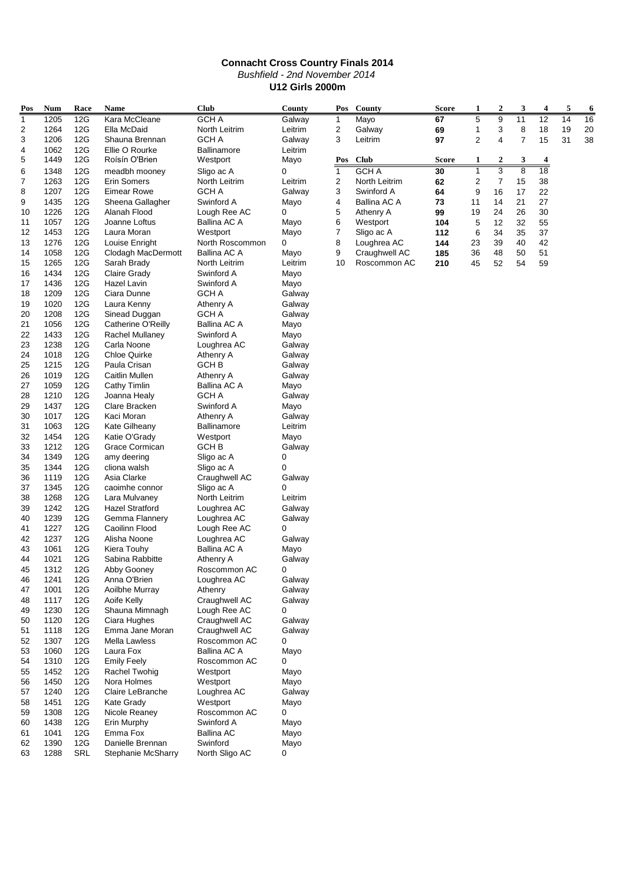|          | <b>Connacht Cross Country Finals 2014</b>        |            |                                        |                               |                  |                |                       |              |                |                  |                |                 |    |    |
|----------|--------------------------------------------------|------------|----------------------------------------|-------------------------------|------------------|----------------|-----------------------|--------------|----------------|------------------|----------------|-----------------|----|----|
|          | Bushfield - 2nd November 2014                    |            |                                        |                               |                  |                |                       |              |                |                  |                |                 |    |    |
|          | <b>U12 Girls 2000m</b>                           |            |                                        |                               |                  |                |                       |              |                |                  |                |                 |    |    |
| Pos      | <b>Num</b>                                       | Race       | Name                                   | <b>Club</b>                   | County           | Pos            | County                | <b>Score</b> | 1              | $\boldsymbol{2}$ | 3              | 4               | 5  | 6  |
| 1        | 1205                                             | 12G        | Kara McCleane                          | <b>GCHA</b>                   | Galway           | 1              | Mayo                  | 67           | 5              | 9                | 11             | $\overline{12}$ | 14 | 16 |
| 2        | 1264                                             | 12G        | Ella McDaid                            | North Leitrim                 | Leitrim          | 2              | Galway                | 69           | $\mathbf{1}$   | 3                | 8              | 18              | 19 | 20 |
| 3        | 1206                                             | 12G        | Shauna Brennan                         | GCH A                         | Galway           | 3              | Leitrim               | 97           | $\overline{c}$ | $\overline{4}$   | $\overline{7}$ | 15              | 31 | 38 |
| 4        | 1062                                             | 12G        | Ellie O Rourke                         | <b>Ballinamore</b>            | Leitrim          |                |                       |              |                |                  |                |                 |    |    |
| 5        | 1449                                             | 12G        | Roisin O'Brien                         | Westport                      | Mayo             | Pos            | <b>Club</b>           | Score        | 1              | 2                | 3              | 4               |    |    |
| 6        | 1348                                             | 12G        | meadbh mooney                          | Sligo ac A                    | 0                | $\mathbf{1}$   | <b>GCHA</b>           | 30           | $\overline{1}$ | 3                | $\overline{8}$ | $\overline{18}$ |    |    |
| 7        | 1263                                             | 12G        | <b>Erin Somers</b>                     | North Leitrim                 | Leitrim          | 2              | North Leitrim         | 62           | 2              | $\overline{7}$   | 15             | 38              |    |    |
| 8        | 1207                                             | 12G        | <b>Eimear Rowe</b>                     | GCH A                         | Galway           | 3              | Swinford A            | 64           | 9              | 16               | 17             | 22              |    |    |
| 9        | 1435                                             | 12G        | Sheena Gallagher                       | Swinford A                    | Mayo             | 4              | Ballina AC A          | 73           | 11             | 14               | 21             | 27              |    |    |
| 10<br>11 | 1226<br>1057                                     | 12G<br>12G | Alanah Flood<br>Joanne Loftus          | Lough Ree AC<br>Ballina AC A  | 0                | 5<br>6         | Athenry A<br>Westport | 99<br>104    | 19<br>5        | 24<br>12         | 26<br>32       | 30<br>55        |    |    |
| 12       | 1453                                             | 12G        | Laura Moran                            | Westport                      | Mayo<br>Mayo     | $\overline{7}$ | Sligo ac A            | 112          | 6              | 34               | 35             | 37              |    |    |
| 13       | 1276                                             | 12G        | Louise Enright                         | North Roscommon               | 0                | 8              | Loughrea AC           | 144          | 23             | 39               | 40             | 42              |    |    |
| 14       | 1058                                             | 12G        | Clodagh MacDermott                     | Ballina AC A                  | Mayo             | 9              | Craughwell AC         | 185          | 36             | 48               | 50             | 51              |    |    |
| 15       | 1265                                             | 12G        | Sarah Brady                            | North Leitrim                 | Leitrim          | 10             | Roscommon AC          | 210          | 45             | 52               | 54             | 59              |    |    |
| 16       | 1434                                             | 12G        | <b>Claire Grady</b>                    | Swinford A                    | Mayo             |                |                       |              |                |                  |                |                 |    |    |
| 17       | 1436                                             | 12G        | Hazel Lavin                            | Swinford A                    | Mayo             |                |                       |              |                |                  |                |                 |    |    |
| 18       | 1209                                             | 12G        | Ciara Dunne                            | GCH A                         | Galway           |                |                       |              |                |                  |                |                 |    |    |
| 19       | 1020                                             | 12G        | Laura Kenny                            | Athenry A                     | Galway           |                |                       |              |                |                  |                |                 |    |    |
| 20       | 1208                                             | 12G        | Sinead Duggan                          | <b>GCHA</b>                   | Galway           |                |                       |              |                |                  |                |                 |    |    |
| 21       | 1056                                             | 12G        | Catherine O'Reilly                     | Ballina AC A                  | Mayo             |                |                       |              |                |                  |                |                 |    |    |
| 22       | 1433                                             | 12G        | <b>Rachel Mullaney</b>                 | Swinford A                    | Mayo             |                |                       |              |                |                  |                |                 |    |    |
| 23<br>24 | 1238<br>1018                                     | 12G<br>12G | Carla Noone<br><b>Chloe Quirke</b>     | Loughrea AC<br>Athenry A      | Galway<br>Galway |                |                       |              |                |                  |                |                 |    |    |
| 25       | 1215                                             | 12G        | Paula Crisan                           | <b>GCHB</b>                   | Galway           |                |                       |              |                |                  |                |                 |    |    |
| 26       | 1019                                             | 12G        | <b>Caitlin Mullen</b>                  | Athenry A                     | Galway           |                |                       |              |                |                  |                |                 |    |    |
| 27       | 1059                                             | 12G        | Cathy Timlin                           | Ballina AC A                  | Mayo             |                |                       |              |                |                  |                |                 |    |    |
| 28       | 1210                                             | 12G        | Joanna Healy                           | GCH A                         | Galway           |                |                       |              |                |                  |                |                 |    |    |
| 29       | 1437                                             | 12G        | Clare Bracken                          | Swinford A                    | Mayo             |                |                       |              |                |                  |                |                 |    |    |
| 30       | 1017                                             | 12G        | Kaci Moran                             | Athenry A                     | Galway           |                |                       |              |                |                  |                |                 |    |    |
| 31       | 1063                                             | 12G        | Kate Gilheany                          | <b>Ballinamore</b>            | Leitrim          |                |                       |              |                |                  |                |                 |    |    |
| 32       | 1454                                             | 12G        | Katie O'Grady                          | Westport                      | Mayo             |                |                       |              |                |                  |                |                 |    |    |
| 33       | 1212                                             | 12G        | Grace Cormican                         | GCH B                         | Galway           |                |                       |              |                |                  |                |                 |    |    |
| 34       | 1349                                             | 12G        | amy deering                            | Sligo ac A                    | 0                |                |                       |              |                |                  |                |                 |    |    |
| 35       | 1344                                             | 12G        | cliona walsh                           | Sligo ac A                    | 0                |                |                       |              |                |                  |                |                 |    |    |
| 36<br>37 | 1119<br>1345                                     | 12G<br>12G | Asia Clarke                            | Craughwell AC<br>Sligo ac A   | Galway<br>0      |                |                       |              |                |                  |                |                 |    |    |
| 38       | 1268                                             | 12G        | caoimhe connor<br>Lara Mulvaney        | North Leitrim                 | Leitrim          |                |                       |              |                |                  |                |                 |    |    |
| 39       | 1242                                             | 12G        | <b>Hazel Stratford</b>                 | Loughrea AC                   | Galway           |                |                       |              |                |                  |                |                 |    |    |
| 40       | 1239                                             | 12G        | Gemma Flannery                         | Loughrea AC                   | Galway           |                |                       |              |                |                  |                |                 |    |    |
| 41       | 1227                                             | 12G        | Caoilinn Flood                         | Lough Ree AC                  | 0                |                |                       |              |                |                  |                |                 |    |    |
| 42       | 1237                                             | 12G        | Alisha Noone                           | Loughrea AC                   | Galway           |                |                       |              |                |                  |                |                 |    |    |
| 43       | 1061                                             | 12G        | Kiera Touhy                            | Ballina AC A                  | Mayo             |                |                       |              |                |                  |                |                 |    |    |
| 44       | 1021                                             | 12G        | Sabina Rabbitte                        | Athenry A                     | Galway           |                |                       |              |                |                  |                |                 |    |    |
| 45       | 1312                                             | 12G        | Abby Gooney                            | Roscommon AC                  | 0                |                |                       |              |                |                  |                |                 |    |    |
| 46       | 1241                                             | 12G        | Anna O'Brien                           | Loughrea AC                   | Galway           |                |                       |              |                |                  |                |                 |    |    |
| 47       | 1001                                             | 12G        | Aoilbhe Murray                         | Athenry                       | Galway           |                |                       |              |                |                  |                |                 |    |    |
| 48       | 1117<br>1230                                     | 12G<br>12G | Aoife Kelly<br>Shauna Mimnagh          | Craughwell AC<br>Lough Ree AC | Galway           |                |                       |              |                |                  |                |                 |    |    |
| 49<br>50 | 1120                                             | 12G        | Ciara Hughes                           | Craughwell AC                 | 0<br>Galway      |                |                       |              |                |                  |                |                 |    |    |
| 51       | 1118                                             | 12G        | Emma Jane Moran                        | Craughwell AC                 | Galway           |                |                       |              |                |                  |                |                 |    |    |
| 52       | 1307                                             | 12G        | Mella Lawless                          | Roscommon AC                  | 0                |                |                       |              |                |                  |                |                 |    |    |
| 53       | 1060                                             | 12G        | Laura Fox                              | Ballina AC A                  | Mayo             |                |                       |              |                |                  |                |                 |    |    |
| 54       | 1310                                             | 12G        | <b>Emily Feely</b>                     | Roscommon AC                  | 0                |                |                       |              |                |                  |                |                 |    |    |
| 55       | 1452<br>12G<br>Rachel Twohig<br>Westport<br>Mayo |            |                                        |                               |                  |                |                       |              |                |                  |                |                 |    |    |
| 56       | 1450<br>12G<br>Nora Holmes<br>Westport<br>Mayo   |            |                                        |                               |                  |                |                       |              |                |                  |                |                 |    |    |
| 57       | 1240                                             | 12G        | Claire LeBranche                       | Loughrea AC                   | Galway           |                |                       |              |                |                  |                |                 |    |    |
| 58       | 1451                                             | 12G        | <b>Kate Grady</b>                      | Westport                      | Mayo             |                |                       |              |                |                  |                |                 |    |    |
| 59       | 1308                                             | 12G        | Nicole Reaney                          | Roscommon AC                  | 0                |                |                       |              |                |                  |                |                 |    |    |
| 60       | 1438                                             | 12G        | Erin Murphy                            | Swinford A                    | Mayo             |                |                       |              |                |                  |                |                 |    |    |
| 61       | 1041                                             | 12G        | Emma Fox                               | Ballina AC                    | Mayo             |                |                       |              |                |                  |                |                 |    |    |
| 62<br>63 | 1390<br>1288                                     | 12G<br>SRL | Danielle Brennan<br>Stephanie McSharry | Swinford<br>North Sligo AC    | Mayo<br>0        |                |                       |              |                |                  |                |                 |    |    |
|          |                                                  |            |                                        |                               |                  |                |                       |              |                |                  |                |                 |    |    |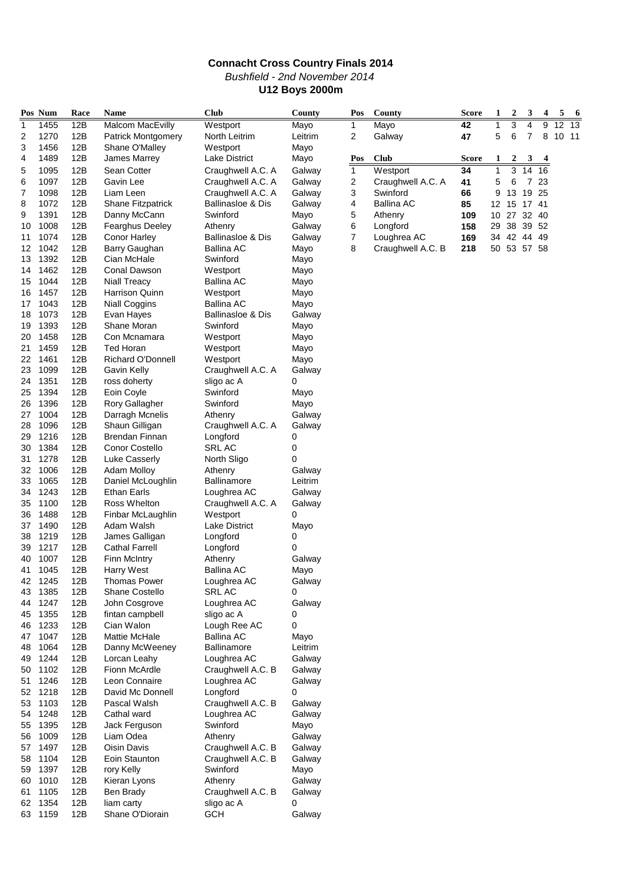### **Connacht Cross Country Finals 2014** Bushfield - 2nd November 2014 **U12 Boys 2000m**

|          | Pos Num      | Race       | Name                        | <b>Club</b>                              | County          | Pos            | County            | <b>Score</b> | 1           | $\boldsymbol{2}$ | 3              | 4  | 5               | -6              |  |
|----------|--------------|------------|-----------------------------|------------------------------------------|-----------------|----------------|-------------------|--------------|-------------|------------------|----------------|----|-----------------|-----------------|--|
| 1        | 1455         | 12B        | <b>Malcom MacEvilly</b>     | Westport                                 | Mayo            | 1              | Mayo              | 42           |             | 3                |                | 9  | $\overline{12}$ | $\overline{13}$ |  |
| 2        | 1270         | 12B        | Patrick Montgomery          | North Leitrim                            | Leitrim         | 2              | Galway            | 47           | 5           | 6                | 7              | 8  | 10 11           |                 |  |
| 3        | 1456         | 12B        | Shane O'Malley              | Westport                                 | Mayo            |                |                   |              |             |                  |                |    |                 |                 |  |
| 4        | 1489         | 12B        | James Marrey                | Lake District                            | Mayo            | Pos            | <b>Club</b>       | Score        | 1           | $\boldsymbol{z}$ | 3              |    |                 |                 |  |
| 5        | 1095         | 12B        | Sean Cotter                 | Craughwell A.C. A                        | Galway          | $\overline{1}$ | Westport          | 34           | 1           | $\overline{3}$   | 14             | 16 |                 |                 |  |
| 6        | 1097         | 12B        | Gavin Lee                   | Craughwell A.C. A                        | Galway          | 2              | Craughwell A.C. A | 41           | 5           | 6                | $\overline{7}$ | 23 |                 |                 |  |
| 7        | 1098         | 12B        | Liam Leen                   | Craughwell A.C. A                        | Galway          | 3              | Swinford          | 66           | 9           | 13               | 19 25          |    |                 |                 |  |
| 8        | 1072         | 12B        | Shane Fitzpatrick           | <b>Ballinasloe &amp; Dis</b>             | Galway          | 4              | <b>Ballina AC</b> | 85           | 12 15 17 41 |                  |                |    |                 |                 |  |
| 9        | 1391         | 12B        | Danny McCann                | Swinford                                 | Mayo            | 5              | Athenry           | 109          | 10 27 32 40 |                  |                |    |                 |                 |  |
| 10       | 1008         | 12B        | <b>Fearghus Deeley</b>      | Athenry                                  | Galway          | 6              | Longford          | 158          | 29          | 38 39 52         |                |    |                 |                 |  |
| 11       | 1074         | 12B        | <b>Conor Harley</b>         | <b>Ballinasloe &amp; Dis</b>             | Galway          | 7              | Loughrea AC       | 169          | 34 42 44 49 |                  |                |    |                 |                 |  |
| 12       | 1042         | 12B        | Barry Gaughan               | <b>Ballina AC</b>                        | Mayo            | 8              | Craughwell A.C. B | 218          | 50 53 57 58 |                  |                |    |                 |                 |  |
| 13       | 1392         | 12B        | Cian McHale                 | Swinford                                 | Mayo            |                |                   |              |             |                  |                |    |                 |                 |  |
| 14       | 1462         | 12B        | Conal Dawson                | Westport                                 | Mayo            |                |                   |              |             |                  |                |    |                 |                 |  |
| 15       | 1044         | 12B        | <b>Niall Treacy</b>         | <b>Ballina AC</b>                        | Mayo            |                |                   |              |             |                  |                |    |                 |                 |  |
| 16       | 1457         | 12B        | Harrison Quinn              | Westport                                 | Mayo            |                |                   |              |             |                  |                |    |                 |                 |  |
| 17       | 1043         | 12B        | <b>Niall Coggins</b>        | Ballina AC                               | Mayo            |                |                   |              |             |                  |                |    |                 |                 |  |
| 18       | 1073<br>1393 | 12B<br>12B | Evan Hayes<br>Shane Moran   | <b>Ballinasloe &amp; Dis</b><br>Swinford | Galway          |                |                   |              |             |                  |                |    |                 |                 |  |
| 19<br>20 | 1458         | 12B        | Con Mcnamara                | Westport                                 | Mayo<br>Mayo    |                |                   |              |             |                  |                |    |                 |                 |  |
| 21       | 1459         | 12B        | Ted Horan                   | Westport                                 | Mayo            |                |                   |              |             |                  |                |    |                 |                 |  |
| 22       | 1461         | 12B        | Richard O'Donnell           | Westport                                 | Mayo            |                |                   |              |             |                  |                |    |                 |                 |  |
| 23       | 1099         | 12B        | Gavin Kelly                 | Craughwell A.C. A                        | Galway          |                |                   |              |             |                  |                |    |                 |                 |  |
| 24       | 1351         | 12B        | ross doherty                | sligo ac A                               | 0               |                |                   |              |             |                  |                |    |                 |                 |  |
| 25       | 1394         | 12B        | Eoin Coyle                  | Swinford                                 | Mayo            |                |                   |              |             |                  |                |    |                 |                 |  |
| 26       | 1396         | 12B        | Rory Gallagher              | Swinford                                 | Mayo            |                |                   |              |             |                  |                |    |                 |                 |  |
| 27       | 1004         | 12B        | Darragh Mcnelis             | Athenry                                  | Galway          |                |                   |              |             |                  |                |    |                 |                 |  |
| 28       | 1096         | 12B        | Shaun Gilligan              | Craughwell A.C. A                        | Galway          |                |                   |              |             |                  |                |    |                 |                 |  |
| 29       | 1216         | 12B        | <b>Brendan Finnan</b>       | Longford                                 | 0               |                |                   |              |             |                  |                |    |                 |                 |  |
| 30       | 1384         | 12B        | Conor Costello              | <b>SRL AC</b>                            | 0               |                |                   |              |             |                  |                |    |                 |                 |  |
| 31       | 1278         | 12B        | <b>Luke Casserly</b>        | North Sligo                              | 0               |                |                   |              |             |                  |                |    |                 |                 |  |
| 32       | 1006         | 12B        | <b>Adam Molloy</b>          | Athenry                                  | Galway          |                |                   |              |             |                  |                |    |                 |                 |  |
| 33       | 1065         | 12B        | Daniel McLoughlin           | Ballinamore                              | Leitrim         |                |                   |              |             |                  |                |    |                 |                 |  |
| 34       | 1243         | 12B        | <b>Ethan Earls</b>          | Loughrea AC                              | Galway          |                |                   |              |             |                  |                |    |                 |                 |  |
| 35       | 1100         | 12B        | Ross Whelton                | Craughwell A.C. A                        | Galway          |                |                   |              |             |                  |                |    |                 |                 |  |
| 36       | 1488         | 12B        | Finbar McLaughlin           | Westport                                 | 0               |                |                   |              |             |                  |                |    |                 |                 |  |
| 37       | 1490         | 12B        | Adam Walsh                  | <b>Lake District</b>                     | Mayo            |                |                   |              |             |                  |                |    |                 |                 |  |
| 38       | 1219         | 12B        | James Galligan              | Longford                                 | 0               |                |                   |              |             |                  |                |    |                 |                 |  |
| 39       | 1217         | 12B        | <b>Cathal Farrell</b>       | Longford                                 | 0               |                |                   |              |             |                  |                |    |                 |                 |  |
| 40       | 1007         | 12B        | <b>Finn McIntry</b>         | Athenry                                  | Galway          |                |                   |              |             |                  |                |    |                 |                 |  |
| 41       | 1045         | 12B        | Harry West                  | Ballina AC                               | Mayo            |                |                   |              |             |                  |                |    |                 |                 |  |
| 42       | 1245         | 12B        | <b>I homas Power</b>        | Loughrea AC                              | Galway          |                |                   |              |             |                  |                |    |                 |                 |  |
| 43       | 1385         | 12B        | Shane Costello              | SRL AC                                   | 0               |                |                   |              |             |                  |                |    |                 |                 |  |
| 44       | 1247         | 12B        | John Cosgrove               | Loughrea AC                              | Galway          |                |                   |              |             |                  |                |    |                 |                 |  |
| 45       | 1355         | 12B        | fintan campbell             | sligo ac A                               | 0               |                |                   |              |             |                  |                |    |                 |                 |  |
| 46       | 1233<br>1047 | 12B<br>12B | Cian Walon<br>Mattie McHale | Lough Ree AC<br><b>Ballina AC</b>        | 0               |                |                   |              |             |                  |                |    |                 |                 |  |
| 47<br>48 | 1064         | 12B        | Danny McWeeney              | Ballinamore                              | Mayo<br>Leitrim |                |                   |              |             |                  |                |    |                 |                 |  |
| 49       | 1244         | 12B        | Lorcan Leahy                | Loughrea AC                              | Galway          |                |                   |              |             |                  |                |    |                 |                 |  |
| 50       | 1102         | 12B        | Fionn McArdle               | Craughwell A.C. B                        | Galway          |                |                   |              |             |                  |                |    |                 |                 |  |
| 51       | 1246         | 12B        | Leon Connaire               | Loughrea AC                              | Galway          |                |                   |              |             |                  |                |    |                 |                 |  |
| 52       | 1218         | 12B        | David Mc Donnell            | Longford                                 | 0               |                |                   |              |             |                  |                |    |                 |                 |  |
| 53       | 1103         | 12B        | Pascal Walsh                | Craughwell A.C. B                        | Galway          |                |                   |              |             |                  |                |    |                 |                 |  |
| 54       | 1248         | 12B        | Cathal ward                 | Loughrea AC                              | Galway          |                |                   |              |             |                  |                |    |                 |                 |  |
| 55       | 1395         | 12B        | Jack Ferguson               | Swinford                                 | Mayo            |                |                   |              |             |                  |                |    |                 |                 |  |
| 56       | 1009         | 12B        | Liam Odea                   | Athenry                                  | Galway          |                |                   |              |             |                  |                |    |                 |                 |  |
| 57       | 1497         | 12B        | Oisin Davis                 | Craughwell A.C. B                        | Galway          |                |                   |              |             |                  |                |    |                 |                 |  |
| 58       | 1104         | 12B        | Eoin Staunton               | Craughwell A.C. B                        | Galway          |                |                   |              |             |                  |                |    |                 |                 |  |
| 59       | 1397         | 12B        | rory Kelly                  | Swinford                                 | Mayo            |                |                   |              |             |                  |                |    |                 |                 |  |
| 60       | 1010         | 12B        | Kieran Lyons                | Athenry                                  | Galway          |                |                   |              |             |                  |                |    |                 |                 |  |
| 61       | 1105         | 12B        | Ben Brady                   | Craughwell A.C. B                        | Galway          |                |                   |              |             |                  |                |    |                 |                 |  |
| 62       | 1354         | 12B        | liam carty                  | sligo ac A                               | 0               |                |                   |              |             |                  |                |    |                 |                 |  |
|          | 63 1159      | 12B        | Shane O'Diorain             | <b>GCH</b>                               | Galway          |                |                   |              |             |                  |                |    |                 |                 |  |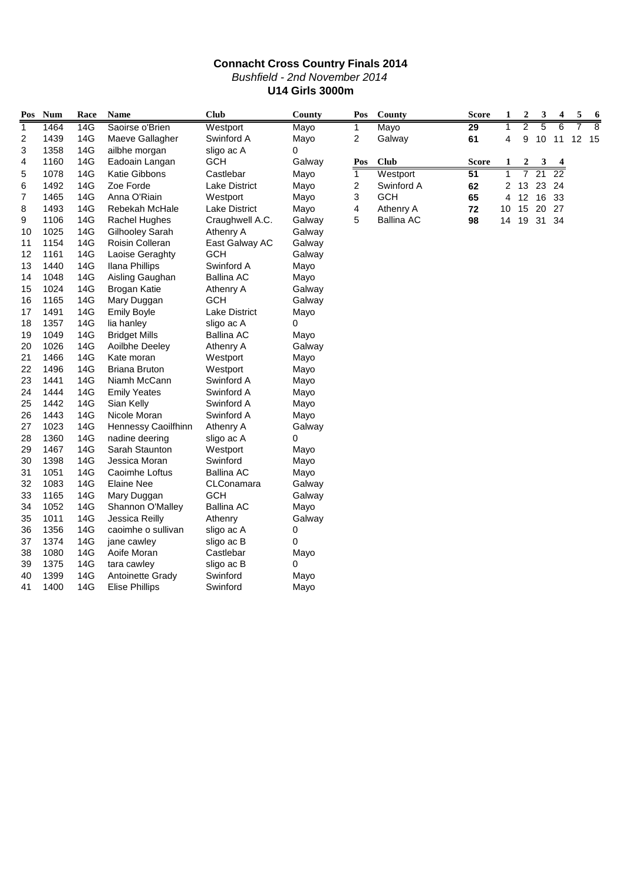|                | <b>Connacht Cross Country Finals 2014</b> |      |                        |                      |        |                |                   |                 |                |                  |       |          |   |                |
|----------------|-------------------------------------------|------|------------------------|----------------------|--------|----------------|-------------------|-----------------|----------------|------------------|-------|----------|---|----------------|
|                | <b>Bushfield - 2nd November 2014</b>      |      |                        |                      |        |                |                   |                 |                |                  |       |          |   |                |
|                | <b>U14 Girls 3000m</b>                    |      |                        |                      |        |                |                   |                 |                |                  |       |          |   |                |
| Pos            | Num                                       | Race | <b>Name</b>            | <b>Club</b>          | County | Pos            | County            | <b>Score</b>    | 1              | 2                | 3     | 4        | 5 | 6              |
| $\mathbf{1}$   | 1464                                      | 14G  | Saoirse o'Brien        | Westport             | Mayo   | $\mathbf{1}$   | Mayo              | $\overline{29}$ | $\overline{1}$ | 2                | 5     | 6        | 7 | $\overline{8}$ |
| $\overline{c}$ | 1439                                      | 14G  | Maeve Gallagher        | Swinford A           | Mayo   | $\overline{2}$ | Galway            | 61              | 4              | 9                | 10    | 11 12 15 |   |                |
| 3              | 1358                                      | 14G  | ailbhe morgan          | sligo ac A           | 0      |                |                   |                 |                |                  |       |          |   |                |
| 4              | 1160                                      | 14G  | Eadoain Langan         | <b>GCH</b>           | Galway | Pos            | <b>Club</b>       | <b>Score</b>    | 1              | $\boldsymbol{2}$ | 3     |          |   |                |
| 5              | 1078                                      | 14G  | Katie Gibbons          | Castlebar            | Mayo   | $\mathbf{1}$   | Westport          | 51              | $\mathbf{1}$   | $\overline{7}$   | 21    | 22       |   |                |
| 6              | 1492                                      | 14G  | Zoe Forde              | <b>Lake District</b> | Mayo   | 2              | Swinford A        | 62              | 2              | 13               | 23    | 24       |   |                |
| $\overline{7}$ | 1465                                      | 14G  | Anna O'Riain           | Westport             | Mayo   | 3              | <b>GCH</b>        | 65              | 4              | 12 16 33         |       |          |   |                |
| 8              | 1493                                      | 14G  | Rebekah McHale         | <b>Lake District</b> | Mayo   | 4              | Athenry A         | 72              | 10             | 15               | 20 27 |          |   |                |
| 9              | 1106                                      | 14G  | Rachel Hughes          | Craughwell A.C.      | Galway | 5              | <b>Ballina AC</b> | 98              | 14             | 19               | 31 34 |          |   |                |
| 10             | 1025                                      | 14G  | Gilhooley Sarah        | Athenry A            | Galway |                |                   |                 |                |                  |       |          |   |                |
| 11             | 1154                                      | 14G  | <b>Roisin Colleran</b> | East Galway AC       | Galway |                |                   |                 |                |                  |       |          |   |                |
| 12             | 1161                                      | 14G  | Laoise Geraghty        | <b>GCH</b>           | Galway |                |                   |                 |                |                  |       |          |   |                |
| 13             | 1440                                      | 14G  | <b>Ilana Phillips</b>  | Swinford A           | Mayo   |                |                   |                 |                |                  |       |          |   |                |
| 14             | 1048                                      | 14G  | Aisling Gaughan        | <b>Ballina AC</b>    | Mayo   |                |                   |                 |                |                  |       |          |   |                |
| 15             | 1024                                      | 14G  | <b>Brogan Katie</b>    | Athenry A            | Galway |                |                   |                 |                |                  |       |          |   |                |
| 16             | 1165                                      | 14G  | Mary Duggan            | <b>GCH</b>           | Galway |                |                   |                 |                |                  |       |          |   |                |
| 17             | 1491                                      | 14G  | <b>Emily Boyle</b>     | <b>Lake District</b> | Mayo   |                |                   |                 |                |                  |       |          |   |                |
| 18             | 1357                                      | 14G  | lia hanley             | sligo ac A           | 0      |                |                   |                 |                |                  |       |          |   |                |
| 19             | 1049                                      | 14G  | <b>Bridget Mills</b>   | <b>Ballina AC</b>    | Mayo   |                |                   |                 |                |                  |       |          |   |                |
| 20             | 1026                                      | 14G  | Aoilbhe Deeley         | Athenry A            | Galway |                |                   |                 |                |                  |       |          |   |                |
| 21             | 1466                                      | 14G  | Kate moran             | Westport             | Mayo   |                |                   |                 |                |                  |       |          |   |                |
| 22             | 1496                                      | 14G  | <b>Briana Bruton</b>   | Westport             | Mayo   |                |                   |                 |                |                  |       |          |   |                |
| 23             | 1441                                      | 14G  | Niamh McCann           | Swinford A           | Mayo   |                |                   |                 |                |                  |       |          |   |                |
| 24             | 1444                                      | 14G  | <b>Emily Yeates</b>    | Swinford A           | Mayo   |                |                   |                 |                |                  |       |          |   |                |
| 25             | 1442                                      | 14G  | Sian Kelly             | Swinford A           | Mayo   |                |                   |                 |                |                  |       |          |   |                |
| 26             | 1443                                      | 14G  | Nicole Moran           | Swinford A           | Mayo   |                |                   |                 |                |                  |       |          |   |                |
| 27             | 1023                                      | 14G  | Hennessy Caoilfhinn    | Athenry A            | Galway |                |                   |                 |                |                  |       |          |   |                |
| 28             | 1360                                      | 14G  | nadine deering         | sligo ac A           | 0      |                |                   |                 |                |                  |       |          |   |                |
| 29             | 1467                                      | 14G  | Sarah Staunton         | Westport             | Mayo   |                |                   |                 |                |                  |       |          |   |                |
| 30             | 1398                                      | 14G  | Jessica Moran          | Swinford             | Mayo   |                |                   |                 |                |                  |       |          |   |                |
| 31             | 1051                                      | 14G  | Caoimhe Loftus         | <b>Ballina AC</b>    | Mayo   |                |                   |                 |                |                  |       |          |   |                |
| 32             | 1083                                      | 14G  | <b>Elaine Nee</b>      | CLConamara           | Galway |                |                   |                 |                |                  |       |          |   |                |
| 33             | 1165                                      | 14G  | Mary Duggan            | <b>GCH</b>           | Galway |                |                   |                 |                |                  |       |          |   |                |
| 34             | 1052                                      | 14G  | Shannon O'Malley       | <b>Ballina AC</b>    | Mayo   |                |                   |                 |                |                  |       |          |   |                |
| 35             | 1011                                      | 14G  | Jessica Reilly         | Athenry              | Galway |                |                   |                 |                |                  |       |          |   |                |
| 36             | 1356                                      | 14G  | caoimhe o sullivan     | sligo ac A           | 0      |                |                   |                 |                |                  |       |          |   |                |
| 37             | 1374                                      | 14G  | jane cawley            | sligo ac B           | 0      |                |                   |                 |                |                  |       |          |   |                |
| 38             | 1080                                      | 14G  | Aoife Moran            | Castlebar            | Mayo   |                |                   |                 |                |                  |       |          |   |                |
| 39             | 1375                                      | 14G  | tara cawley            | sligo ac B           | 0      |                |                   |                 |                |                  |       |          |   |                |
| 40             | 1399                                      | 14G  | Antoinette Grady       | Swinford             | Mayo   |                |                   |                 |                |                  |       |          |   |                |
| 41             | 1400                                      | 14G  | <b>Elise Phillips</b>  | Swinford             | Mayo   |                |                   |                 |                |                  |       |          |   |                |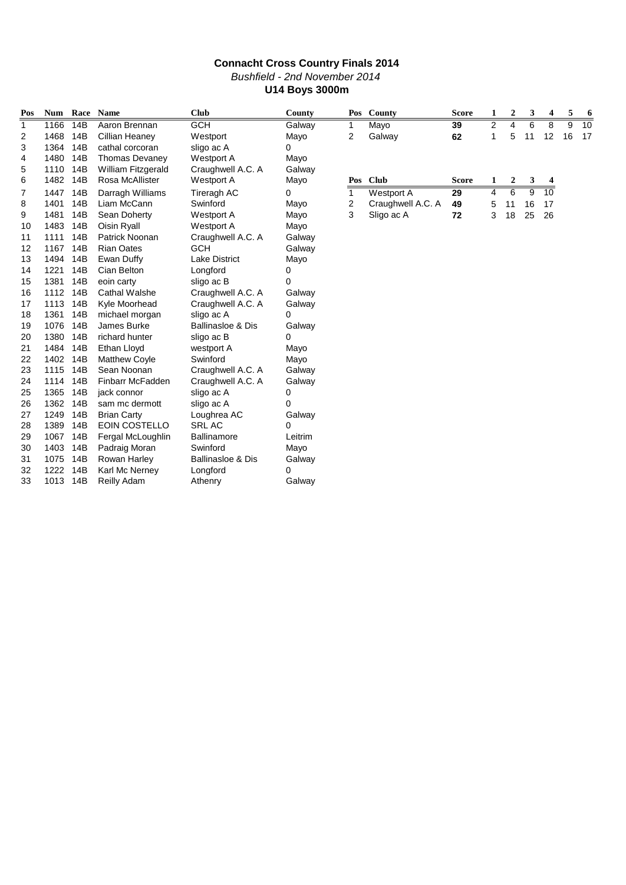### **Connacht Cross Country Finals 2014** Bushfield - 2nd November 2014 **U14 Boys 3000m**

| Pos | <b>Num</b> |     | Race Name                 | <b>Club</b>                  | County  | Pos          | County            | <b>Score</b> | 1              | $\boldsymbol{2}$ | 3  | 4  | 5  | 6  |
|-----|------------|-----|---------------------------|------------------------------|---------|--------------|-------------------|--------------|----------------|------------------|----|----|----|----|
| 1   | 1166       | 14B | Aaron Brennan             | <b>GCH</b>                   | Galway  | 1            | Mayo              | 39           | $\overline{2}$ | 4                | 6  | 8  | 9  | 10 |
| 2   | 1468       | 14B | Cillian Heaney            | Westport                     | Mayo    | 2            | Galway            | 62           | 1              | 5                | 11 | 12 | 16 | 17 |
| 3   | 1364       | 14B | cathal corcoran           | sligo ac A                   | 0       |              |                   |              |                |                  |    |    |    |    |
| 4   | 1480       | 14B | <b>Thomas Devaney</b>     | <b>Westport A</b>            | Mayo    |              |                   |              |                |                  |    |    |    |    |
| 5   | 1110       | 14B | <b>William Fitzgerald</b> | Craughwell A.C. A            | Galway  |              |                   |              |                |                  |    |    |    |    |
| 6   | 1482       | 14B | Rosa McAllister           | Westport A                   | Mayo    | Pos          | <b>Club</b>       | <b>Score</b> | 1              | 2                | 3  | 4  |    |    |
| 7   | 1447       | 14B | Darragh Williams          | Tireragh AC                  | 0       | $\mathbf{1}$ | <b>Westport A</b> | 29           | 4              | 6                | 9  | 10 |    |    |
| 8   | 1401       | 14B | Liam McCann               | Swinford                     | Mayo    | 2            | Craughwell A.C. A | 49           | 5              | 11               | 16 | 17 |    |    |
| 9   | 1481       | 14B | Sean Doherty              | <b>Westport A</b>            | Mayo    | 3            | Sligo ac A        | 72           | 3              | 18               | 25 | 26 |    |    |
| 10  | 1483       | 14B | Oisin Ryall               | <b>Westport A</b>            | Mayo    |              |                   |              |                |                  |    |    |    |    |
| 11  | 1111       | 14B | Patrick Noonan            | Craughwell A.C. A            | Galway  |              |                   |              |                |                  |    |    |    |    |
| 12  | 1167       | 14B | <b>Rian Oates</b>         | <b>GCH</b>                   | Galway  |              |                   |              |                |                  |    |    |    |    |
| 13  | 1494       | 14B | Ewan Duffy                | <b>Lake District</b>         | Mayo    |              |                   |              |                |                  |    |    |    |    |
| 14  | 1221       | 14B | Cian Belton               | Longford                     | 0       |              |                   |              |                |                  |    |    |    |    |
| 15  | 1381       | 14B | eoin carty                | sligo ac B                   | 0       |              |                   |              |                |                  |    |    |    |    |
| 16  | 1112       | 14B | <b>Cathal Walshe</b>      | Craughwell A.C. A            | Galway  |              |                   |              |                |                  |    |    |    |    |
| 17  | 1113       | 14B | Kyle Moorhead             | Craughwell A.C. A            | Galway  |              |                   |              |                |                  |    |    |    |    |
| 18  | 1361       | 14B | michael morgan            | sligo ac A                   | 0       |              |                   |              |                |                  |    |    |    |    |
| 19  | 1076       | 14B | James Burke               | <b>Ballinasloe &amp; Dis</b> | Galway  |              |                   |              |                |                  |    |    |    |    |
| 20  | 1380       | 14B | richard hunter            | sligo ac B                   | 0       |              |                   |              |                |                  |    |    |    |    |
| 21  | 1484       | 14B | Ethan Lloyd               | westport A                   | Mayo    |              |                   |              |                |                  |    |    |    |    |
| 22  | 1402       | 14B | <b>Matthew Coyle</b>      | Swinford                     | Mayo    |              |                   |              |                |                  |    |    |    |    |
| 23  | 1115       | 14B | Sean Noonan               | Craughwell A.C. A            | Galway  |              |                   |              |                |                  |    |    |    |    |
| 24  | 1114       | 14B | Finbarr McFadden          | Craughwell A.C. A            | Galway  |              |                   |              |                |                  |    |    |    |    |
| 25  | 1365       | 14B | jack connor               | sligo ac A                   | 0       |              |                   |              |                |                  |    |    |    |    |
| 26  | 1362       | 14B | sam mc dermott            | sligo ac A                   | 0       |              |                   |              |                |                  |    |    |    |    |
| 27  | 1249       | 14B | <b>Brian Carty</b>        | Loughrea AC                  | Galway  |              |                   |              |                |                  |    |    |    |    |
| 28  | 1389       | 14B | EOIN COSTELLO             | <b>SRL AC</b>                | 0       |              |                   |              |                |                  |    |    |    |    |
| 29  | 1067       | 14B | Fergal McLoughlin         | <b>Ballinamore</b>           | Leitrim |              |                   |              |                |                  |    |    |    |    |
| 30  | 1403       | 14B | Padraig Moran             | Swinford                     | Mayo    |              |                   |              |                |                  |    |    |    |    |
| 31  | 1075       | 14B | Rowan Harley              | <b>Ballinasloe &amp; Dis</b> | Galway  |              |                   |              |                |                  |    |    |    |    |
| 32  | 1222       | 14B | Karl Mc Nerney            | Longford                     | 0       |              |                   |              |                |                  |    |    |    |    |
| 33  | 1013       | 14B | Reilly Adam               | Athenry                      | Galway  |              |                   |              |                |                  |    |    |    |    |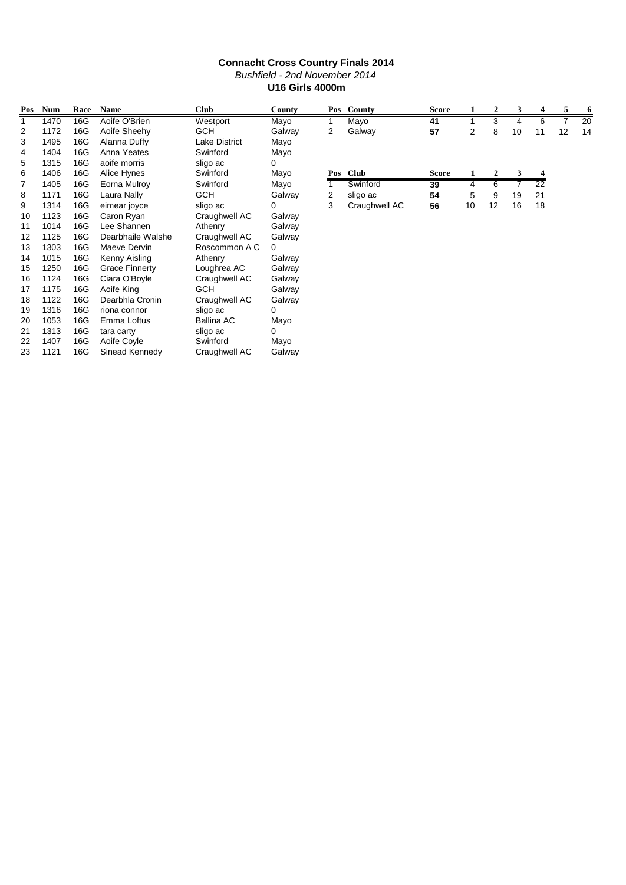|              | <b>Connacht Cross Country Finals 2014</b>                                                       |      |                       |                      |        |              |               |              |                |                  |    |                 |    |    |  |
|--------------|-------------------------------------------------------------------------------------------------|------|-----------------------|----------------------|--------|--------------|---------------|--------------|----------------|------------------|----|-----------------|----|----|--|
|              | Bushfield - 2nd November 2014                                                                   |      |                       |                      |        |              |               |              |                |                  |    |                 |    |    |  |
|              | <b>U16 Girls 4000m</b>                                                                          |      |                       |                      |        |              |               |              |                |                  |    |                 |    |    |  |
|              |                                                                                                 |      |                       |                      |        |              |               |              |                |                  |    |                 |    |    |  |
| Pos          | <b>Num</b>                                                                                      | Race | <b>Name</b>           | <b>Club</b>          | County |              | Pos County    | <b>Score</b> |                | $\boldsymbol{2}$ | 3  | 4               | 5  | 6  |  |
| $\mathbf{1}$ | 1470                                                                                            | 16G  | Aoife O'Brien         | Westport             | Mayo   | $\mathbf{1}$ | Mayo          | 41           |                | 3                | 4  | 6               |    | 20 |  |
| 2            | 1172                                                                                            | 16G  | Aoife Sheehy          | <b>GCH</b>           | Galway | 2            | Galway        | 57           | $\overline{2}$ | 8                | 10 | 11              | 12 | 14 |  |
| 3            | 1495                                                                                            | 16G  | Alanna Duffy          | <b>Lake District</b> | Mayo   |              |               |              |                |                  |    |                 |    |    |  |
| 4            | 1404                                                                                            | 16G  | Anna Yeates           | Swinford             | Mayo   |              |               |              |                |                  |    |                 |    |    |  |
| 5            | 1315                                                                                            | 16G  | aoife morris          | sligo ac             | 0      |              |               |              |                |                  |    |                 |    |    |  |
| 6            | 1406                                                                                            | 16G  | Alice Hynes           | Swinford             | Mayo   | Pos          | <b>Club</b>   | <b>Score</b> | 1              | $\mathbf{2}$     | 3  | 4               |    |    |  |
| 7            | 1405                                                                                            | 16G  | Eorna Mulroy          | Swinford             | Mayo   | 1            | Swinford      | 39           | 4              | 6                | 7  | $\overline{22}$ |    |    |  |
| 8            | 16G<br>Laura Nally<br><b>GCH</b><br>1171<br>2<br>Galway<br>54<br>5<br>19<br>21<br>sligo ac<br>9 |      |                       |                      |        |              |               |              |                |                  |    |                 |    |    |  |
| 9            | 1314                                                                                            | 16G  | eimear joyce          | sligo ac             | 0      | 3            | Craughwell AC | 56           | 10             | 12               | 16 | 18              |    |    |  |
| 10           | 1123                                                                                            | 16G  | Caron Ryan            | Craughwell AC        | Galway |              |               |              |                |                  |    |                 |    |    |  |
| 11           | 1014                                                                                            | 16G  | Lee Shannen           | Athenry              | Galway |              |               |              |                |                  |    |                 |    |    |  |
| 12           | 1125                                                                                            | 16G  | Dearbhaile Walshe     | Craughwell AC        | Galway |              |               |              |                |                  |    |                 |    |    |  |
| 13           | 1303                                                                                            | 16G  | Maeve Dervin          | Roscommon A C        | 0      |              |               |              |                |                  |    |                 |    |    |  |
| 14           | 1015                                                                                            | 16G  | Kenny Aisling         | Athenry              | Galway |              |               |              |                |                  |    |                 |    |    |  |
| 15           | 1250                                                                                            | 16G  | <b>Grace Finnerty</b> | Loughrea AC          | Galway |              |               |              |                |                  |    |                 |    |    |  |
| 16           | 1124                                                                                            | 16G  | Ciara O'Boyle         | Craughwell AC        | Galway |              |               |              |                |                  |    |                 |    |    |  |
| 17           | 1175                                                                                            | 16G  | Aoife King            | <b>GCH</b>           | Galway |              |               |              |                |                  |    |                 |    |    |  |
| 18           | 1122                                                                                            | 16G  | Dearbhla Cronin       | Craughwell AC        | Galway |              |               |              |                |                  |    |                 |    |    |  |
| 19           | 1316                                                                                            | 16G  | riona connor          | sligo ac             | 0      |              |               |              |                |                  |    |                 |    |    |  |
| 20           | 1053                                                                                            | 16G  | Emma Loftus           | <b>Ballina AC</b>    | Mayo   |              |               |              |                |                  |    |                 |    |    |  |
| 21           | 1313                                                                                            | 16G  | tara carty            | sligo ac             | 0      |              |               |              |                |                  |    |                 |    |    |  |
| 22           | 1407                                                                                            | 16G  | Aoife Coyle           | Swinford             | Mayo   |              |               |              |                |                  |    |                 |    |    |  |
| 23           | 1121                                                                                            | 16G  | Sinead Kennedv        | Craughwell AC        | Galway |              |               |              |                |                  |    |                 |    |    |  |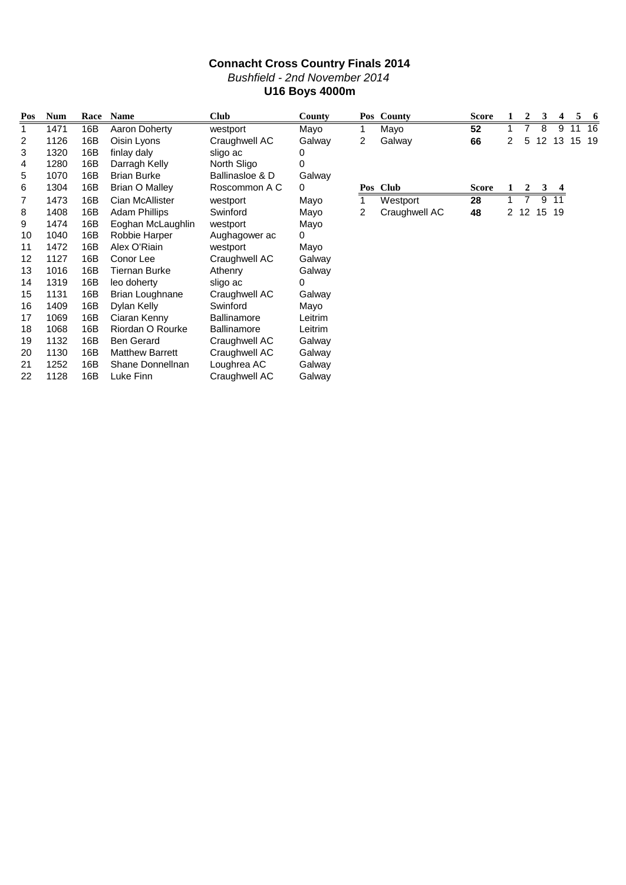### **Connacht Cross Country Finals 2014** Bushfield - 2nd November 2014 **U16 Boys 4000m**

| Pos | <b>Num</b> | Race | <b>Name</b>            | <b>Club</b>        | County      |   | Pos County    | <b>Score</b> |   |      | 3  |    | 5  | 6  |
|-----|------------|------|------------------------|--------------------|-------------|---|---------------|--------------|---|------|----|----|----|----|
| 1   | 1471       | 16B  | Aaron Doherty          | westport           | Mayo        | 1 | Mayo          | 52           |   |      | 8  | 9  | 11 | 16 |
| 2   | 1126       | 16B  | Oisin Lyons            | Craughwell AC      | Galway      | 2 | Galway        | 66           | 2 | 5    | 12 | 13 | 15 | 19 |
| 3   | 1320       | 16B  | finlay daly            | sligo ac           | 0           |   |               |              |   |      |    |    |    |    |
| 4   | 1280       | 16B  | Darragh Kelly          | North Sligo        | 0           |   |               |              |   |      |    |    |    |    |
| 5   | 1070       | 16B  | <b>Brian Burke</b>     | Ballinasloe & D    | Galway      |   |               |              |   |      |    |    |    |    |
| 6   | 1304       | 16B  | Brian O Malley         | Roscommon A C      | 0           |   | Pos Club      | <b>Score</b> |   | 2    | 3  |    |    |    |
| 7   | 1473       | 16B  | Cian McAllister        | westport           | Mayo        |   | Westport      | 28           |   | 7    | 9  | 11 |    |    |
| 8   | 1408       | 16B  | <b>Adam Phillips</b>   | Swinford           | Mayo        | 2 | Craughwell AC | 48           |   | 2 12 | 15 | 19 |    |    |
| 9   | 1474       | 16B  | Eoghan McLaughlin      | westport           | Mayo        |   |               |              |   |      |    |    |    |    |
| 10  | 1040       | 16B  | Robbie Harper          | Aughagower ac      | $\mathbf 0$ |   |               |              |   |      |    |    |    |    |
| 11  | 1472       | 16B  | Alex O'Riain           | westport           | Mayo        |   |               |              |   |      |    |    |    |    |
| 12  | 1127       | 16B  | Conor Lee              | Craughwell AC      | Galway      |   |               |              |   |      |    |    |    |    |
| 13  | 1016       | 16B  | <b>Tiernan Burke</b>   | Athenry            | Galway      |   |               |              |   |      |    |    |    |    |
| 14  | 1319       | 16B  | leo doherty            | sligo ac           | 0           |   |               |              |   |      |    |    |    |    |
| 15  | 1131       | 16B  | <b>Brian Loughnane</b> | Craughwell AC      | Galway      |   |               |              |   |      |    |    |    |    |
| 16  | 1409       | 16B  | Dylan Kelly            | Swinford           | Mayo        |   |               |              |   |      |    |    |    |    |
| 17  | 1069       | 16B  | Ciaran Kenny           | <b>Ballinamore</b> | Leitrim     |   |               |              |   |      |    |    |    |    |
| 18  | 1068       | 16B  | Riordan O Rourke       | Ballinamore        | Leitrim     |   |               |              |   |      |    |    |    |    |
| 19  | 1132       | 16B  | <b>Ben Gerard</b>      | Craughwell AC      | Galway      |   |               |              |   |      |    |    |    |    |
| 20  | 1130       | 16B  | <b>Matthew Barrett</b> | Craughwell AC      | Galway      |   |               |              |   |      |    |    |    |    |
| 21  | 1252       | 16B  | Shane Donnellnan       | Loughrea AC        | Galway      |   |               |              |   |      |    |    |    |    |
| 22  | 1128       | 16B  | Luke Finn              | Craughwell AC      | Galway      |   |               |              |   |      |    |    |    |    |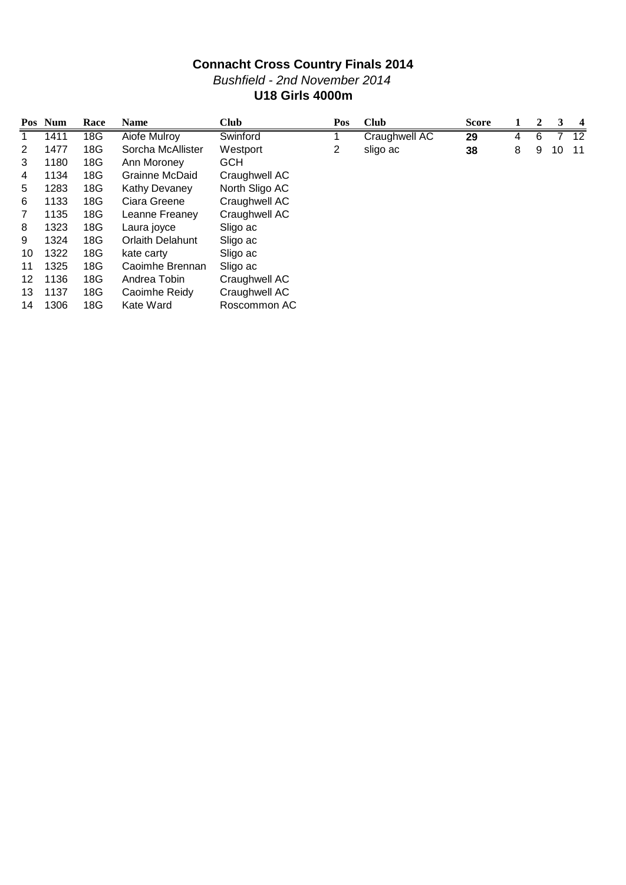## **Connacht Cross Country Finals 2014** Bushfield - 2nd November 2014 **U18 Girls 4000m**

|    | Pos Num | Race | <b>Name</b>             | <b>Club</b>    | Pos | <b>Club</b>   | <b>Score</b> |   | 2 | 3  | $\overline{4}$ |
|----|---------|------|-------------------------|----------------|-----|---------------|--------------|---|---|----|----------------|
|    | 1411    | 18G  | Aiofe Mulroy            | Swinford       |     | Craughwell AC | 29           | 4 | 6 |    | 12             |
| 2  | 1477    | 18G  | Sorcha McAllister       | Westport       | 2   | sligo ac      | 38           | 8 | 9 | 10 | -11            |
| 3  | 1180    | 18G  | Ann Moroney             | <b>GCH</b>     |     |               |              |   |   |    |                |
| 4  | 1134    | 18G  | Grainne McDaid          | Craughwell AC  |     |               |              |   |   |    |                |
| 5  | 1283    | 18G  | <b>Kathy Devaney</b>    | North Sligo AC |     |               |              |   |   |    |                |
| 6  | 1133    | 18G  | Ciara Greene            | Craughwell AC  |     |               |              |   |   |    |                |
| 7  | 1135    | 18G  | Leanne Freaney          | Craughwell AC  |     |               |              |   |   |    |                |
| 8  | 1323    | 18G  | Laura joyce             | Sligo ac       |     |               |              |   |   |    |                |
| 9  | 1324    | 18G  | <b>Orlaith Delahunt</b> | Sligo ac       |     |               |              |   |   |    |                |
| 10 | 1322    | 18G  | kate carty              | Sligo ac       |     |               |              |   |   |    |                |
| 11 | 1325    | 18G  | Caoimhe Brennan         | Sligo ac       |     |               |              |   |   |    |                |
| 12 | 1136    | 18G  | Andrea Tobin            | Craughwell AC  |     |               |              |   |   |    |                |
| 13 | 1137    | 18G  | Caoimhe Reidy           | Craughwell AC  |     |               |              |   |   |    |                |
| 14 | 1306    | 18G  | Kate Ward               | Roscommon AC   |     |               |              |   |   |    |                |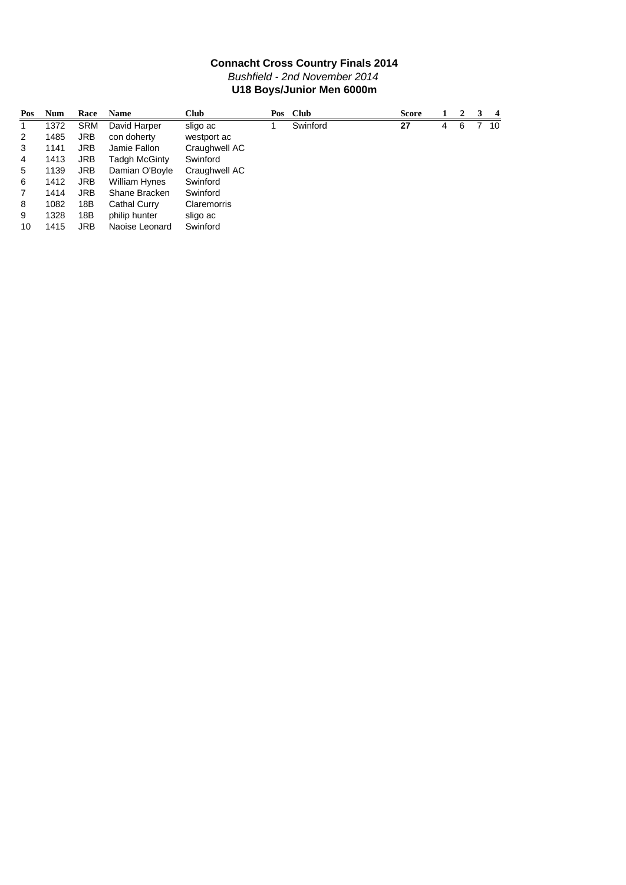### **Connacht Cross Country Finals 2014** Bushfield - 2nd November 2014 **U18 Boys/Junior Men 6000m**

| Pos | <b>Num</b> | Race       | <b>Name</b>    | <b>Club</b>   | Pos Club | <b>Score</b> |   | ຳ | 4    |
|-----|------------|------------|----------------|---------------|----------|--------------|---|---|------|
|     | 1372       | SRM        | David Harper   | sligo ac      | Swinford | 27           | 4 | 6 | - 10 |
| 2   | 1485       | JRB.       | con doherty    | westport ac   |          |              |   |   |      |
| 3   | 1141       | JRB        | Jamie Fallon   | Craughwell AC |          |              |   |   |      |
| 4   | 1413       | JRB        | Tadgh McGinty  | Swinford      |          |              |   |   |      |
| 5   | 1139       | <b>JRB</b> | Damian O'Boyle | Craughwell AC |          |              |   |   |      |
| 6   | 1412       | <b>JRB</b> | William Hynes  | Swinford      |          |              |   |   |      |
| 7   | 1414       | <b>JRB</b> | Shane Bracken  | Swinford      |          |              |   |   |      |
| 8   | 1082       | 18B        | Cathal Curry   | Claremorris   |          |              |   |   |      |
| 9   | 1328       | 18B        | philip hunter  | sligo ac      |          |              |   |   |      |
| 10  | 1415       | JRB        | Naoise Leonard | Swinford      |          |              |   |   |      |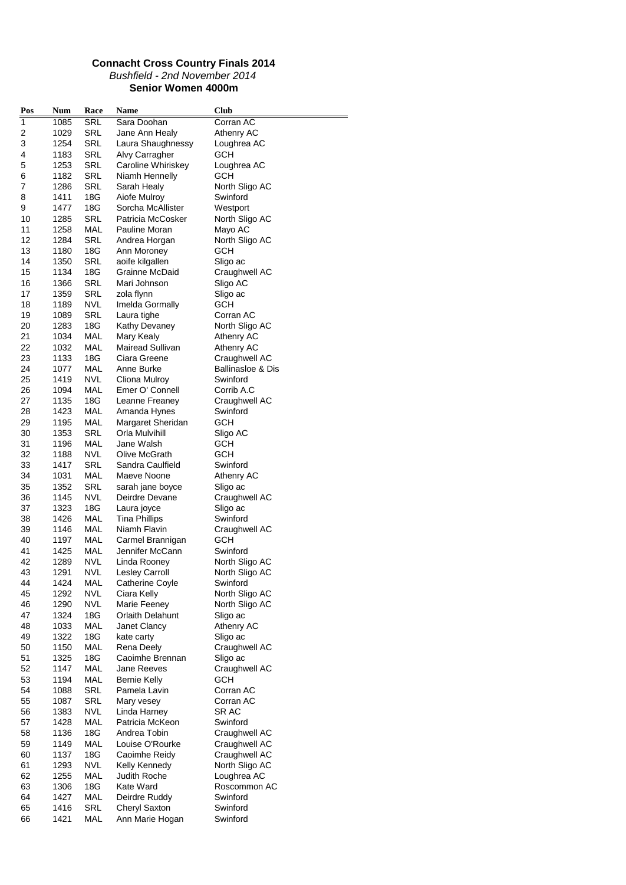#### **Connacht Cross Country Finals 2014** Bushfield - 2nd November 2014 **Senior Women 4000m**

| Pos            | Num          | Race              | Name                             | <b>Club</b>                                   |
|----------------|--------------|-------------------|----------------------------------|-----------------------------------------------|
| 1              | 1085         | SRL               | Sara Doohan                      | Corran AC                                     |
| $\overline{c}$ | 1029         | SRL               | Jane Ann Healy                   | Athenry AC                                    |
| 3              | 1254         | SRL               | Laura Shaughnessy                | Loughrea AC                                   |
| 4              | 1183         | SRL               | Alvy Carragher                   | GCH                                           |
| 5              | 1253         | SRL               | Caroline Whiriskey               | Loughrea AC                                   |
| 6              | 1182         | SRL               | Niamh Hennelly                   | GCH                                           |
| 7              | 1286         | SRL               | Sarah Healy                      | North Sligo AC                                |
| 8              | 1411         | 18G               | Aiofe Mulroy                     | Swinford                                      |
| 9              | 1477         | 18G               | Sorcha McAllister                | Westport                                      |
| 10             | 1285         | <b>SRL</b>        | Patricia McCosker                | North Sligo AC                                |
| 11             | 1258         | MAL               | Pauline Moran                    | Mayo AC                                       |
| 12             | 1284         | <b>SRL</b>        | Andrea Horgan                    | North Sligo AC                                |
| 13             | 1180         | 18G               | Ann Moroney                      | GCH                                           |
| 14             | 1350         | SRL               | aoife kilgallen                  | Sligo ac                                      |
| 15             | 1134         | 18G               | Grainne McDaid                   | Craughwell AC                                 |
| 16             | 1366         | SRL               | Mari Johnson                     | Sligo AC                                      |
| 17             | 1359         | SRL               | zola flynn                       | Sligo ac                                      |
| 18             | 1189         | NVL               | Imelda Gormally                  | GCH                                           |
| 19             | 1089         | SRL               | Laura tighe                      | Corran AC                                     |
| 20             | 1283         | 18G               | Kathy Devaney                    | North Sligo AC                                |
| 21             | 1034         | <b>MAL</b>        | Mary Kealy                       | Athenry AC                                    |
| 22             | 1032         | MAL<br>18G        | Mairead Sullivan<br>Ciara Greene | Athenry AC                                    |
| 23             | 1133         |                   |                                  | Craughwell AC<br><b>Ballinasloe &amp; Dis</b> |
| 24             | 1077         | MAL               | Anne Burke                       |                                               |
| 25<br>26       | 1419<br>1094 | NVL<br>MAL        | Cliona Mulroy<br>Emer O' Connell | Swinford<br>Corrib A.C                        |
| 27             | 1135         | 18G               | Leanne Freaney                   | Craughwell AC                                 |
| 28             | 1423         | MAL               | Amanda Hynes                     | Swinford                                      |
| 29             | 1195         | MAL               | Margaret Sheridan                | GCH                                           |
| 30             | 1353         | SRL               | Orla Mulvihill                   | Sligo AC                                      |
| 31             | 1196         | MAL               | Jane Walsh                       | GCH                                           |
| 32             | 1188         | <b>NVL</b>        | Olive McGrath                    | GCH                                           |
| 33             | 1417         | SRL               | Sandra Caulfield                 | Swinford                                      |
| 34             | 1031         | MAL               | Maeve Noone                      | Athenry AC                                    |
| 35             | 1352         | SRL               | sarah jane boyce                 | Sligo ac                                      |
| 36             | 1145         | NVL.              | Deirdre Devane                   | Craughwell AC                                 |
| 37             | 1323         | 18G               | Laura joyce                      | Sligo ac                                      |
| 38             | 1426         | MAL               | <b>Tina Phillips</b>             | Swinford                                      |
| 39             | 1146         | MAL               | Niamh Flavin                     | Craughwell AC                                 |
| 40             | 1197         | <b>MAL</b>        | Carmel Brannigan                 | <b>GCH</b>                                    |
| 41             | 1425         | MAL               | Jennifer McCann                  | Swinford                                      |
| 42             | 1289         | NVL               | Linda Rooney                     | North Sligo AC                                |
| 43             | 1291         | NVL               | Lesley Carroll                   | North Sligo AC                                |
| 44             | 1424         | <b>MAL</b>        | <b>Catherine Coyle</b>           | Swinford                                      |
| 45             | 1292         | <b>NVL</b>        | Ciara Kelly                      | North Sligo AC                                |
| 46             | 1290         | <b>NVL</b>        | Marie Feeney                     | North Sligo AC                                |
| 47             | 1324         | 18G               | <b>Orlaith Delahunt</b>          | Sligo ac                                      |
| 48             | 1033         | MAL               | Janet Clancy                     | Athenry AC                                    |
| 49             | 1322         | 18G               | kate carty                       | Sligo ac                                      |
| 50             | 1150         | MAL               | Rena Deely                       | Craughwell AC                                 |
| 51             | 1325         | 18G               | Caoimhe Brennan                  | Sligo ac                                      |
| 52             | 1147         | MAL               | Jane Reeves                      | Craughwell AC                                 |
| 53             | 1194         | MAL               | <b>Bernie Kelly</b>              | GCH                                           |
| 54             | 1088         | SRL               | Pamela Lavin                     | Corran AC                                     |
| 55             | 1087         | SRL               | Mary vesey                       | Corran AC                                     |
| 56             | 1383         | <b>NVL</b>        | Linda Harney                     | SR AC                                         |
| 57             | 1428         | MAL               | Patricia McKeon                  | Swinford                                      |
| 58             | 1136         | 18G               | Andrea Tobin                     | Craughwell AC                                 |
| 59             | 1149         | MAL               | Louise O'Rourke                  | Craughwell AC                                 |
| 60<br>61       | 1137         | 18G               | Caoimhe Reidy                    | Craughwell AC                                 |
| 62             | 1293<br>1255 | <b>NVL</b><br>MAL | Kelly Kennedy<br>Judith Roche    | North Sligo AC<br>Loughrea AC                 |
| 63             | 1306         | 18G               | Kate Ward                        | Roscommon AC                                  |
| 64             | 1427         | MAL               | Deirdre Ruddy                    | Swinford                                      |
| 65             | 1416         | SRL               | Cheryl Saxton                    | Swinford                                      |
| 66             | 1421         | MAL               | Ann Marie Hogan                  | Swinford                                      |
|                |              |                   |                                  |                                               |